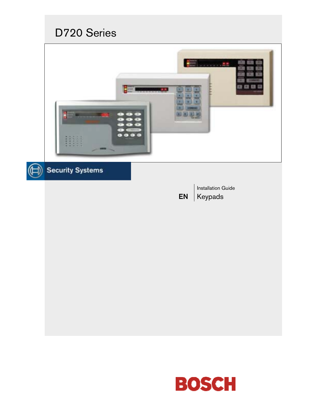# D720 Series



# Security Systems

EN Installation Guide Keypads

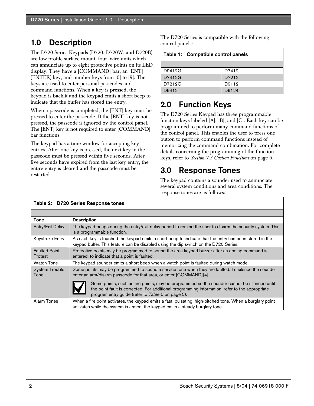### 1.0 Description

The D720 Series Keypads (D720, D720W, and D720B) are low profile surface mount, four–wire units which can annunciate up to eight protective points on its LED display. They have a [COMMAND] bar, an [ENT] (ENTER) key, and number keys from [0] to [9]. The keys are used to enter personal passcodes and command functions. When a key is pressed, the keypad is backlit and the keypad emits a short beep to indicate that the buffer has stored the entry.

When a passcode is completed, the [ENT] key must be pressed to enter the passcode. If the [ENT] key is not pressed, the passcode is ignored by the control panel. The [ENT] key is not required to enter [COMMAND] bar functions.

The keypad has a time window for accepting key entries. After one key is pressed, the next key in the passcode must be pressed within five seconds. After five seconds have expired from the last key entry, the entire entry is cleared and the passcode must be restarted.

The D720 Series is compatible with the following control panels:

| Table 1: Compatible control panels |       |  |
|------------------------------------|-------|--|
|                                    |       |  |
| D9412G                             | D7412 |  |
| D7412G                             | D7212 |  |
| D7212G                             | D9112 |  |
| D9412                              | D9124 |  |

### 2.0 Function Keys

The D720 Series Keypad has three programmable function keys labeled [A], [B], and [C]. Each key can be programmed to perform many command functions of the control panel. This enables the user to press one button to perform command functions instead of memorizing the command combination. For complete details concerning the programming of the function keys, refer to *Section 7.3 Custom Functions* on page 6.

## 3.0 Response Tones

The keypad contains a sounder used to annunciate several system conditions and area conditions. The response tones are as follows:

| Tone                            | <b>Description</b>                                                                                                                                                                                                                                 |  |
|---------------------------------|----------------------------------------------------------------------------------------------------------------------------------------------------------------------------------------------------------------------------------------------------|--|
| Entry/Exit Delay                | The keypad beeps during the entry/exit delay period to remind the user to disarm the security system. This<br>is a programmable function.                                                                                                          |  |
| Keystroke Entry                 | As each key is touched the keypad emits a short beep to indicate that the entry has been stored in the<br>keypad buffer. This feature can be disabled using the dip switch on the D720 Series.                                                     |  |
| <b>Faulted Point</b><br>Protest | Protective points may be programmed to sound the area keypad buzzer after an arming command is<br>entered, to indicate that a point is faulted.                                                                                                    |  |
| <b>Watch Tone</b>               | The keypad sounder emits a short beep when a watch point is faulted during watch mode.                                                                                                                                                             |  |
| <b>System Trouble</b><br>Tone   | Some points may be programmed to sound a service tone when they are faulted. To silence the sounder<br>enter an arm/disarm passcode for that area, or enter [COMMAND][4].                                                                          |  |
|                                 | Some points, such as fire points, may be programmed so the sounder cannot be silenced until<br>the point fault is corrected. For additional programming information, refer to the appropriate<br>program entry guide (refer to Table 5 on page 5). |  |
| Alarm Tones                     | When a fire point activates, the keypad emits a fast, pulsating, high-pitched tone. When a burglary point<br>activates while the system is armed, the keypad emits a steady burglary tone.                                                         |  |

#### Table 2: D720 Series Response tones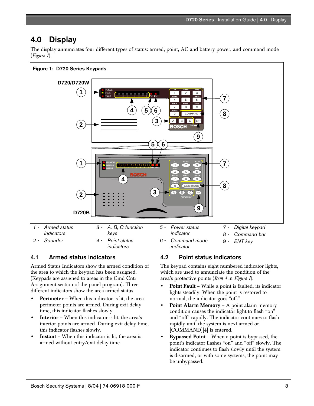### 4.0 Display

The display annunciates four different types of status: armed, point, AC and battery power, and command mode (*Figure 1*).



#### 4.1 Armed status indicators

Armed Status Indicators show the armed condition of the area to which the keypad has been assigned. (Keypads are assigned to areas in the Cmd Cntr Assignment section of the panel program). Three different indicators show the area armed status:

- Perimeter When this indicator is lit, the area perimeter points are armed. During exit delay time, this indicator flashes slowly.
- **Interior** When this indicator is lit, the area's interior points are armed. During exit delay time, this indicator flashes slowly.
- **Instant** When this indicator is lit, the area is armed without entry/exit delay time.

#### 4.2 Point status indicators

The keypad contains eight numbered indicator lights, which are used to annunciate the condition of the area's protective points (*Item 4* in *Figure 1*).

- Point Fault While a point is faulted, its indicator lights steadily. When the point is restored to normal, the indicator goes "off."
- Point Alarm Memory A point alarm memory condition causes the indicator light to flash "on" and "off" rapidly. The indicator continues to flash rapidly until the system is next armed or [COMMAND][4] is entered.
- Bypassed Point When a point is bypassed, the point's indicator flashes "on" and "off" slowly. The indicator continues to flash slowly until the system is disarmed, or with some systems, the point may be unbypassed.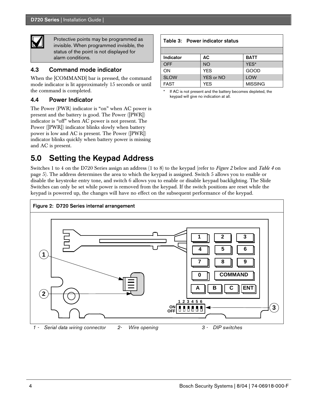

Protective points may be programmed as invisible. When programmed invisible, the status of the point is not displayed for alarm conditions.

#### 4.3 Command mode indicator

When the [COMMAND] bar is pressed, the command mode indicator is lit approximately 15 seconds or until the command is completed.

#### 4.4 Power Indicator

The Power (PWR) indicator is "on" when AC power is present and the battery is good. The Power ([PWR]) indicator is "off" when AC power is not present. The Power ([PWR]) indicator blinks slowly when battery power is low and AC is present. The Power ([PWR]) indicator blinks quickly when battery power is missing and AC is present.

# 5.0 Setting the Keypad Address

Switches 1 to 4 on the D720 Series assign an address (1 to 8) to the keypad (refer to *Figure 2* below and *Table 4* on page 5). The address determines the area to which the keypad is assigned. Switch 5 allows you to enable or disable the keystroke entry tone, and switch 6 allows you to enable or disable keypad backlighting. The Slide Switches can only be set while power is removed from the keypad. If the switch positions are reset while the keypad is powered up, the changes will have no effect on the subsequent performance of the keypad.



| Table 3: Power indicator status |                  |                |
|---------------------------------|------------------|----------------|
|                                 |                  |                |
| Indicator                       | АC               | <b>BATT</b>    |
| <b>OFF</b>                      | <b>NO</b>        | YES*           |
| ON                              | <b>YES</b>       | GOOD           |
| <b>SLOW</b>                     | <b>YES or NO</b> | <b>LOW</b>     |
| <b>FAST</b>                     | <b>YES</b>       | <b>MISSING</b> |

If AC is not present and the battery becomes depleted, the keypad will give no indication at all.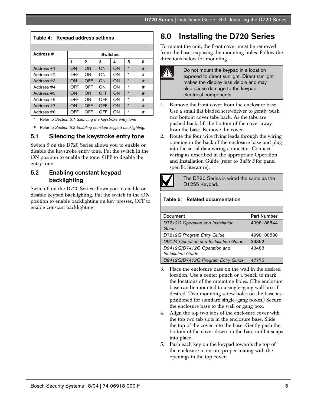| Keypad address settings<br>Table 4: |                 |                |            |    |         |   |
|-------------------------------------|-----------------|----------------|------------|----|---------|---|
|                                     |                 |                |            |    |         |   |
| Address #                           | <b>Switches</b> |                |            |    |         |   |
|                                     | 1               | $\overline{2}$ | 3          | 4  | 5       | 6 |
| Address #1                          | ON              | ON             | ON         | ON | $\star$ | # |
| Address #2                          | OFF             | ON             | OΝ         | ON | $\star$ | # |
| Address #3                          | ON              | OFF            | ON         | ON | $\star$ | # |
| Address #4                          | OFF             | OFF            | ΩN         | ΩN | $\star$ | # |
| Address #5                          | ON              | ON             | OFF        | ON | $\star$ | # |
| Address #6                          | OFF             | ON             | OFF        | ΩN | $\star$ | # |
| Address #7                          | ON              | OFF            | <b>OFF</b> | ON | $\star$ | # |
| Address #8                          | OFF             | OFF            | OFF        | ON | $\star$ | # |

\* Refer to *Section 5.1 Silencing the keystroke entry tone*

# Refer to *Section 5.2 Enabling constant keypad backlighting*.

#### 5.1 Silencing the keystroke entry tone

Switch 5 on the D720 Series allows you to enable or disable the keystroke entry tone. Put the switch in the ON position to enable the tone, OFF to disable the entry tone.

#### 5.2 Enabling constant keypad backlighting

Switch 6 on the D720 Series allows you to enable or disable keypad backlighting. Put the switch in the ON position to enable backlighting on key presses, OFF to enable constant backlighting.

# 6.0 Installing the D720 Series

To mount the unit, the front cover must be removed from the base, exposing the mounting holes. Follow the directions below for mounting.



Do not mount the keypad in a location exposed to direct sunlight. Direct sunlight makes the display less visible and may also cause damage to the keypad electrical components.

- 1. Remove the front cover from the enclosure base. Use a small flat bladed screwdriver to gently push two bottom cover tabs back. As the tabs are pushed back, lift the bottom of the cover away from the base. Remove the cover.
- 2. Route the four wire flying leads through the wiring opening in the back of the enclosure base and plug into the serial data wiring connector. Connect wiring as described in the appropriate Operation and Installation Guide (refer to *Table 5* for panel specific literature).



The D720 Series is wired the same as the D1255 Keypad.

#### Table 5: Related documentation

| <b>Document</b>                                   | <b>Part Number</b> |
|---------------------------------------------------|--------------------|
| D7212G Operation and Installation<br>Guide        | 4998138544         |
| D7212G Program Entry Guide                        | 4998138538         |
| D9124 Operation and Installation Guide            | 39352              |
| D9412G/D7412G Operation and<br>Installation Guide | 43488              |
| D9412G/D7412G Program Entry Guide                 | 47775              |

- 3. Place the enclosure base on the wall in the desired location. Use a center punch or a pencil to mark the locations of the mounting holes. (The enclosure base can be mounted to a single–gang wall box if desired. Two mounting screw holes on the base are positioned for standard single–gang boxes.) Secure the enclosure base to the wall or gang box.
- 4. Align the top two tabs of the enclosure cover with the top two tab slots in the enclosure base. Slide the top of the cover into the base. Gently push the bottom of the cover down on the base until it snaps into place.
- 5. Push each key on the keypad towards the top of the enclosure to ensure proper mating with the openings in the top cover.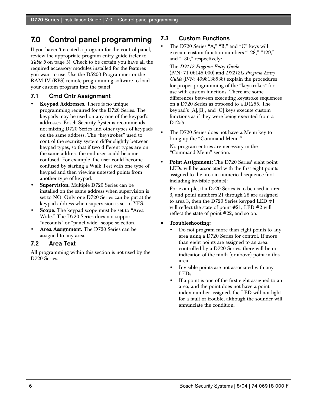# 7.0 Control panel programming

If you haven't created a program for the control panel, review the appropriate program entry guide (refer to *Table 5* on page 5). Check to be certain you have all the required accessory modules installed for the features you want to use. Use the D5200 Programmer or the RAM IV (RPS) remote programming software to load your custom program into the panel.

#### 7.1 Cmd Cntr Assignment

- Keypad Addresses. There is no unique programming required for the D720 Series. The keypads may be used on any one of the keypad's addresses. Bosch Security Systems recommends not mixing D720 Series and other types of keypads on the same address. The "keystrokes" used to control the security system differ slightly between keypad types, so that if two different types are on the same address the end user could become confused. For example, the user could become confused by starting a Walk Test with one type of keypad and then viewing untested points from another type of keypad.
- Supervision. Multiple D720 Series can be installed on the same address when supervision is set to NO. Only one D720 Series can be put at the keypad address when supervision is set to YES.
- Scope. The keypad scope must be set to "Area" Wide." The D720 Series does not support "accounts" or "panel wide" scope selection.
- Area Assignment. The D720 Series can be assigned to any area.

#### 7.2 Area Text

All programming within this section is not used by the D720 Series.

#### 7.3 Custom Functions

The D720 Series "A," "B," and "C" keys will execute custom function numbers "128," "129," and "130," respectively:

The *D9112 Program Entry Guide* (P/N: 71-06145-000) and *D7212G Program Entry Guide* (P/N: 4998138538) explain the procedures for proper programming of the "keystrokes" for use with custom functions. There are some differences between executing keystroke sequences on a D720 Series as opposed to a D1255. The keypad's [A],[B], and [C] keys execute custom functions as if they were being executed from a D1255.

- The D720 Series does not have a Menu key to bring up the "Command Menu." No program entries are necessary in the "Command Menu" section.
- Point Assignment: The D720 Series' eight point LEDs will be associated with the first eight points assigned to the area in numerical sequence (not including invisible points):

For example, if a D720 Series is to be used in area 3, and point numbers 21 through 28 are assigned to area 3, then the D720 Series keypad LED #1 will reflect the state of point #21, LED #2 will reflect the state of point #22, and so on.

#### • Troubleshooting:

- Do not program more than eight points to any area using a D720 Series for control. If more than eight points are assigned to an area controlled by a D720 Series, there will be no indication of the ninth (or above) point in this area.
- Invisible points are not associated with any LEDs.
- If a point is one of the first eight assigned to an area, and the point does not have a point index number assigned, the LED will not light for a fault or trouble, although the sounder will annunciate the condition.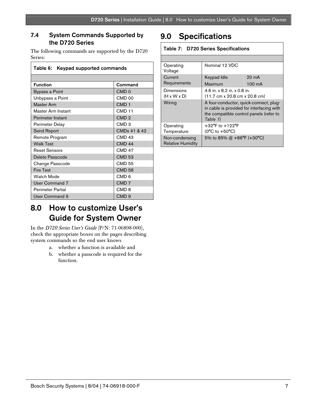#### 7.4 System Commands Supported by the D720 Series

The following commands are supported by the D720 Series:

| Table 6: Keypad supported commands        |                          |  |
|-------------------------------------------|--------------------------|--|
|                                           |                          |  |
| <b>Function</b>                           | Command                  |  |
| Bypass a Point                            | CMD <sub>0</sub>         |  |
| Unbypass a Point                          | CMD <sub>00</sub>        |  |
| <b>Master Arm</b>                         | CMD <sub>1</sub>         |  |
| Master Arm Instant                        | CMD <sub>11</sub>        |  |
| Perimeter Instant                         | CMD <sub>2</sub>         |  |
| Perimeter Delay                           | CMD <sub>3</sub>         |  |
| Send Report                               | CMD <sub>s</sub> 41 & 42 |  |
| Remote Program                            | CMD <sub>43</sub>        |  |
| <b>Walk Test</b>                          | <b>CMD 44</b>            |  |
| <b>Reset Sensors</b>                      | <b>CMD 47</b>            |  |
| Delete Passcode                           | <b>CMD 53</b>            |  |
| Change Passcode                           | <b>CMD 55</b>            |  |
| <b>Fire Test</b>                          | <b>CMD 58</b>            |  |
| Watch Mode                                | CMD <sub>6</sub>         |  |
| <b>User Command 7</b>                     | CMD <sub>7</sub>         |  |
| <b>Perimeter Partial</b>                  | CMD <sub>8</sub>         |  |
| <b>User Command 9</b><br>CMD <sub>9</sub> |                          |  |

# 9.0 Specifications

#### Table 7: D720 Series Specifications

| Operating<br>Voltage                       | Nominal 12 VDC                                                                                                                             |        |  |
|--------------------------------------------|--------------------------------------------------------------------------------------------------------------------------------------------|--------|--|
| Current                                    | Keypad Idle                                                                                                                                | 20 mA  |  |
| Requirements                               | Maximum                                                                                                                                    | 100 mA |  |
| Dimensions<br>$(H \times W \times D)$      | 4.6 in. x 8.2 in. x 0.8 in.<br>$(11.7 \text{ cm} \times 20.8 \text{ cm} \times 20.8 \text{ cm})$                                           |        |  |
| Wiring                                     | A four-conductor, quick-connect, plug-<br>in cable is provided for interfacing with<br>the compatible control panels (refer to<br>Table 1) |        |  |
| Operating<br>Temperature                   | $+32^{\circ}$ F to $+122^{\circ}$ F<br>$(0^{\circ}C$ to $+50^{\circ}C)$                                                                    |        |  |
| Non-condensing<br><b>Relative Humidity</b> | 5% to 85% $@ + 86^{\circ}F (+30^{\circ}C)$                                                                                                 |        |  |

### 8.0 How to customize User's Guide for System Owner

In the *D720 Series User's Guide* (P/N: 71-06898-000), check the appropriate boxes on the pages describing system commands so the end user knows

- a. whether a function is available and
- b. whether a passcode is required for the function.